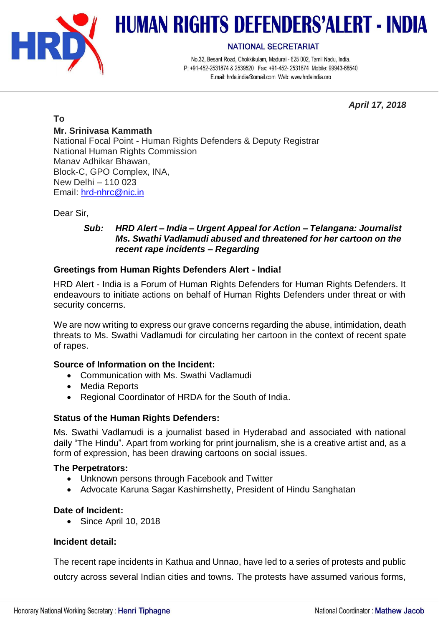

# **HUMAN RIGHTS DEFENDERS'ALERT - INDIA**

#### **NATIONAL SECRETARIAT**

No.32, Besant Road, Chokkikulam, Madurai - 625 002, Tamil Nadu, India. P: +91-452-2531874 & 2539520 Fax: +91-452-2531874 Mobile: 99943-68540 E.mail: hrda.india@qmail.com Web: www.hrdaindia.org

*April 17, 2018*

# **To**

# **Mr. Srinivasa Kammath**

National Focal Point - Human Rights Defenders & Deputy Registrar National Human Rights Commission Manav Adhikar Bhawan, Block-C, GPO Complex, INA, New Delhi – 110 023 Email: [hrd-nhrc@nic.in](mailto:hrd-nhrc@nic.in)

Dear Sir,

## *Sub: HRD Alert – India – Urgent Appeal for Action – Telangana: Journalist Ms. Swathi Vadlamudi abused and threatened for her cartoon on the recent rape incidents – Regarding*

# **Greetings from Human Rights Defenders Alert - India!**

HRD Alert - India is a Forum of Human Rights Defenders for Human Rights Defenders. It endeavours to initiate actions on behalf of Human Rights Defenders under threat or with security concerns.

We are now writing to express our grave concerns regarding the abuse, intimidation, death threats to Ms. Swathi Vadlamudi for circulating her cartoon in the context of recent spate of rapes.

# **Source of Information on the Incident:**

- Communication with Ms. Swathi Vadlamudi
- Media Reports
- Regional Coordinator of HRDA for the South of India.

# **Status of the Human Rights Defenders:**

Ms. Swathi Vadlamudi is a journalist based in Hyderabad and associated with national daily "The Hindu". Apart from working for print journalism, she is a creative artist and, as a form of expression, has been drawing cartoons on social issues.

### **The Perpetrators:**

- Unknown persons through Facebook and Twitter
- Advocate Karuna Sagar Kashimshetty, President of Hindu Sanghatan

### **Date of Incident:**

• Since April 10, 2018

# **Incident detail:**

The recent rape incidents in Kathua and Unnao, have led to a series of protests and public outcry across several Indian cities and towns. The protests have assumed various forms,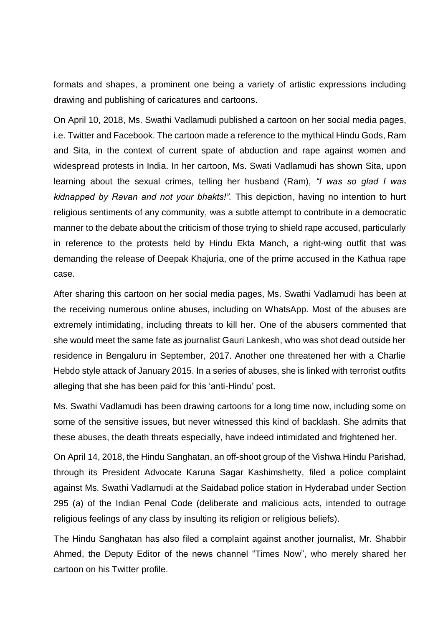formats and shapes, a prominent one being a variety of artistic expressions including drawing and publishing of caricatures and cartoons.

On April 10, 2018, Ms. Swathi Vadlamudi published a cartoon on her social media pages, i.e. Twitter and Facebook. The cartoon made a reference to the mythical Hindu Gods, Ram and Sita, in the context of current spate of abduction and rape against women and widespread protests in India. In her cartoon, Ms. Swati Vadlamudi has shown Sita, upon learning about the sexual crimes, telling her husband (Ram), *"I was so glad I was kidnapped by Ravan and not your bhakts!".* This depiction, having no intention to hurt religious sentiments of any community, was a subtle attempt to contribute in a democratic manner to the debate about the criticism of those trying to shield rape accused, particularly in reference to the protests held by Hindu Ekta Manch, a right-wing outfit that was demanding the release of Deepak Khajuria, one of the prime accused in the Kathua rape case.

After sharing this cartoon on her social media pages, Ms. Swathi Vadlamudi has been at the receiving numerous online abuses, including on WhatsApp. Most of the abuses are extremely intimidating, including threats to kill her. One of the abusers commented that she would meet the same fate as journalist Gauri Lankesh, who was shot dead outside her residence in Bengaluru in September, 2017. Another one threatened her with a Charlie Hebdo style attack of January 2015. In a series of abuses, she is linked with terrorist outfits alleging that she has been paid for this 'anti-Hindu' post.

Ms. Swathi Vadlamudi has been drawing cartoons for a long time now, including some on some of the sensitive issues, but never witnessed this kind of backlash. She admits that these abuses, the death threats especially, have indeed intimidated and frightened her.

On April 14, 2018, the Hindu Sanghatan, an off-shoot group of the Vishwa Hindu Parishad, through its President Advocate Karuna Sagar Kashimshetty, filed a police complaint against Ms. Swathi Vadlamudi at the Saidabad police station in Hyderabad under Section 295 (a) of the Indian Penal Code (deliberate and malicious acts, intended to outrage religious feelings of any class by insulting its religion or religious beliefs).

The Hindu Sanghatan has also filed a complaint against another journalist, Mr. Shabbir Ahmed, the Deputy Editor of the news channel "Times Now", who merely shared her cartoon on his Twitter profile.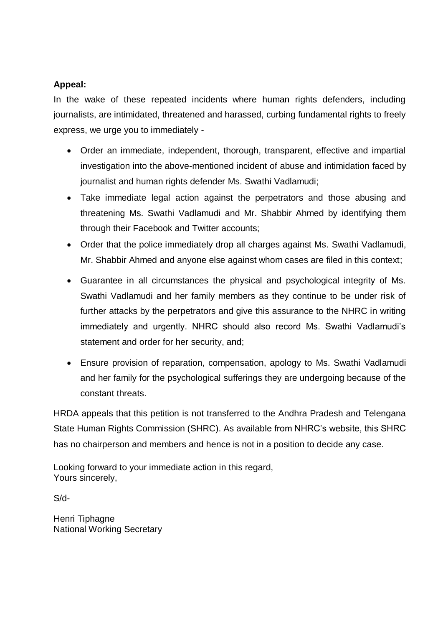# **Appeal:**

In the wake of these repeated incidents where human rights defenders, including journalists, are intimidated, threatened and harassed, curbing fundamental rights to freely express, we urge you to immediately -

- Order an immediate, independent, thorough, transparent, effective and impartial investigation into the above-mentioned incident of abuse and intimidation faced by journalist and human rights defender Ms. Swathi Vadlamudi;
- Take immediate legal action against the perpetrators and those abusing and threatening Ms. Swathi Vadlamudi and Mr. Shabbir Ahmed by identifying them through their Facebook and Twitter accounts;
- Order that the police immediately drop all charges against Ms. Swathi Vadlamudi, Mr. Shabbir Ahmed and anyone else against whom cases are filed in this context;
- Guarantee in all circumstances the physical and psychological integrity of Ms. Swathi Vadlamudi and her family members as they continue to be under risk of further attacks by the perpetrators and give this assurance to the NHRC in writing immediately and urgently. NHRC should also record Ms. Swathi Vadlamudi's statement and order for her security, and;
- Ensure provision of reparation, compensation, apology to Ms. Swathi Vadlamudi and her family for the psychological sufferings they are undergoing because of the constant threats.

HRDA appeals that this petition is not transferred to the Andhra Pradesh and Telengana State Human Rights Commission (SHRC). As available from NHRC's website, this SHRC has no chairperson and members and hence is not in a position to decide any case.

Looking forward to your immediate action in this regard, Yours sincerely,

S/d-

Henri Tiphagne National Working Secretary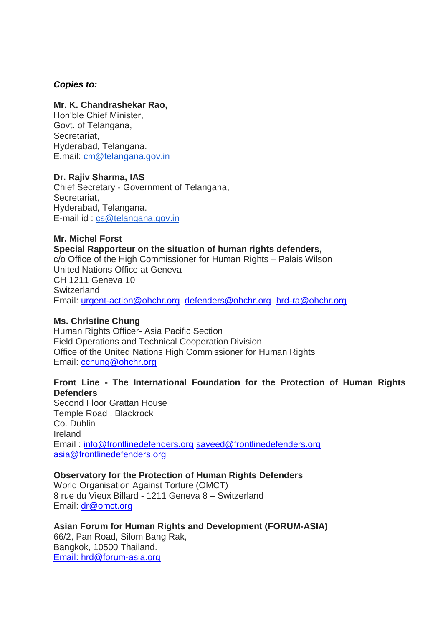#### *Copies to:*

### **Mr. K. Chandrashekar Rao,**

Hon'ble Chief Minister, Govt. of Telangana, Secretariat, Hyderabad, Telangana. E.mail: [cm@telangana.gov.in](mailto:cm@telangana.gov.in) 

#### **Dr. Rajiv Sharma, IAS**

Chief Secretary - Government of Telangana, Secretariat, Hyderabad, Telangana. E-mail id : [cs@telangana.gov.in](mailto:cs@telangana.gov.in)

#### **Mr. Michel Forst Special Rapporteur on the situation of human rights defenders,**

c/o Office of the High Commissioner for Human Rights – Palais Wilson United Nations Office at Geneva CH 1211 Geneva 10 **Switzerland** Email: [urgent-action@ohchr.org](mailto:urgent-action@ohchr.org) [defenders@ohchr.org](mailto:defenders@ohchr.org) [hrd-ra@ohchr.org](mailto:hrd-ra@ohchr.org)

#### **Ms. Christine Chung**

Human Rights Officer- Asia Pacific Section Field Operations and Technical Cooperation Division Office of the United Nations High Commissioner for Human Rights Email: [cchung@ohchr.org](mailto:cchung@ohchr.org)

## **Front Line - The International Foundation for the Protection of Human Rights Defenders**

Second Floor Grattan House Temple Road , Blackrock Co. Dublin Ireland Email : [info@frontlinedefenders.org](mailto:info@frontlinedefenders.org) [sayeed@frontlinedefenders.org](mailto:sayeed@frontlinedefenders.org) [asia@frontlinedefenders.org](mailto:asia@frontlinedefenders.org)

### **Observatory for the Protection of Human Rights Defenders**

World Organisation Against Torture (OMCT) 8 rue du Vieux Billard - 1211 Geneva 8 – Switzerland Email: [dr@omct.org](mailto:dr@omct.org)

#### **Asian Forum for Human Rights and Development (FORUM-ASIA)**

66/2, Pan Road, Silom Bang Rak, Bangkok, 10500 Thailand. Email: [hrd@forum-asia.org](mailto:Email%3Ahrd@forum-asia.org)